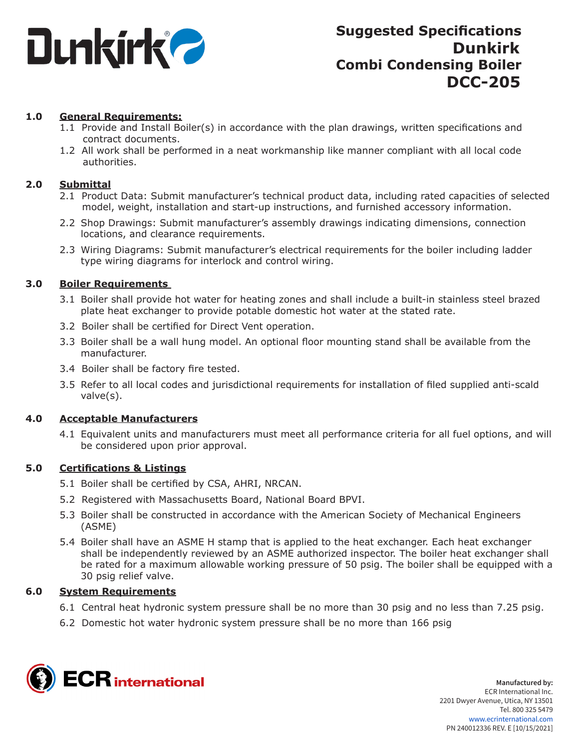

### **1.0 General Requirements:**

- 1.1 Provide and Install Boiler(s) in accordance with the plan drawings, written specifications and contract documents.
- 1.2 All work shall be performed in a neat workmanship like manner compliant with all local code authorities.

### **2.0 Submittal**

- 2.1 Product Data: Submit manufacturer's technical product data, including rated capacities of selected model, weight, installation and start-up instructions, and furnished accessory information.
- 2.2 Shop Drawings: Submit manufacturer's assembly drawings indicating dimensions, connection locations, and clearance requirements.
- 2.3 Wiring Diagrams: Submit manufacturer's electrical requirements for the boiler including ladder type wiring diagrams for interlock and control wiring.

### **3.0 Boiler Requirements**

- 3.1 Boiler shall provide hot water for heating zones and shall include a built-in stainless steel brazed plate heat exchanger to provide potable domestic hot water at the stated rate.
- 3.2 Boiler shall be certified for Direct Vent operation.
- 3.3 Boiler shall be a wall hung model. An optional floor mounting stand shall be available from the manufacturer.
- 3.4 Boiler shall be factory fire tested.
- 3.5 Refer to all local codes and jurisdictional requirements for installation of filed supplied anti-scald valve(s).

#### **4.0 Acceptable Manufacturers**

4.1 Equivalent units and manufacturers must meet all performance criteria for all fuel options, and will be considered upon prior approval.

#### **5.0 Certifications & Listings**

- 5.1 Boiler shall be certified by CSA, AHRI, NRCAN.
- 5.2 Registered with Massachusetts Board, National Board BPVI.
- 5.3 Boiler shall be constructed in accordance with the American Society of Mechanical Engineers (ASME)
- 5.4 Boiler shall have an ASME H stamp that is applied to the heat exchanger. Each heat exchanger shall be independently reviewed by an ASME authorized inspector. The boiler heat exchanger shall be rated for a maximum allowable working pressure of 50 psig. The boiler shall be equipped with a 30 psig relief valve.

#### **6.0 System Requirements**

- 6.1 Central heat hydronic system pressure shall be no more than 30 psig and no less than 7.25 psig.
- 6.2 Domestic hot water hydronic system pressure shall be no more than 166 psig

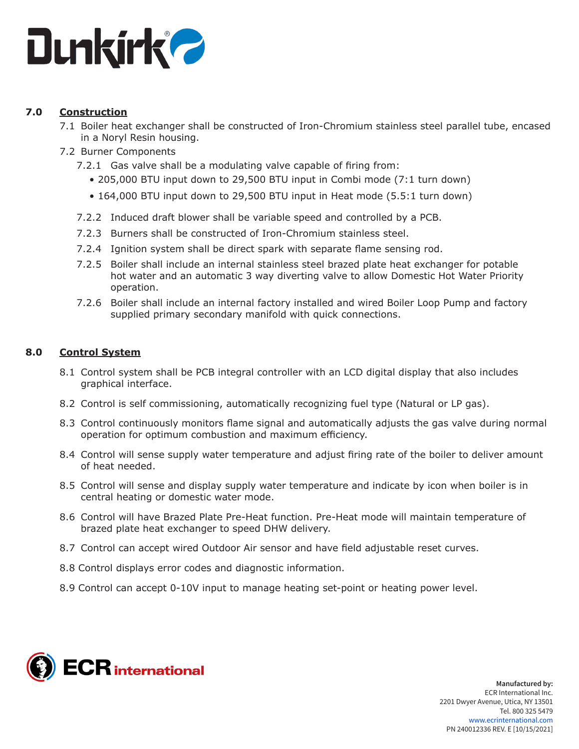

## **7.0 Construction**

- 7.1 Boiler heat exchanger shall be constructed of Iron-Chromium stainless steel parallel tube, encased in a Noryl Resin housing.
- 7.2 Burner Components
	- 7.2.1 Gas valve shall be a modulating valve capable of firing from:
		- 205,000 BTU input down to 29,500 BTU input in Combi mode (7:1 turn down)
		- 164,000 BTU input down to 29,500 BTU input in Heat mode (5.5:1 turn down)
	- 7.2.2 Induced draft blower shall be variable speed and controlled by a PCB.
	- 7.2.3 Burners shall be constructed of Iron-Chromium stainless steel.
	- 7.2.4 Ignition system shall be direct spark with separate flame sensing rod.
	- 7.2.5 Boiler shall include an internal stainless steel brazed plate heat exchanger for potable hot water and an automatic 3 way diverting valve to allow Domestic Hot Water Priority operation.
	- 7.2.6 Boiler shall include an internal factory installed and wired Boiler Loop Pump and factory supplied primary secondary manifold with quick connections.

### **8.0 Control System**

- 8.1 Control system shall be PCB integral controller with an LCD digital display that also includes graphical interface.
- 8.2 Control is self commissioning, automatically recognizing fuel type (Natural or LP gas).
- 8.3 Control continuously monitors flame signal and automatically adjusts the gas valve during normal operation for optimum combustion and maximum efficiency.
- 8.4 Control will sense supply water temperature and adjust firing rate of the boiler to deliver amount of heat needed.
- 8.5 Control will sense and display supply water temperature and indicate by icon when boiler is in central heating or domestic water mode.
- 8.6 Control will have Brazed Plate Pre-Heat function. Pre-Heat mode will maintain temperature of brazed plate heat exchanger to speed DHW delivery.
- 8.7 Control can accept wired Outdoor Air sensor and have field adjustable reset curves.
- 8.8 Control displays error codes and diagnostic information.
- 8.9 Control can accept 0-10V input to manage heating set-point or heating power level.